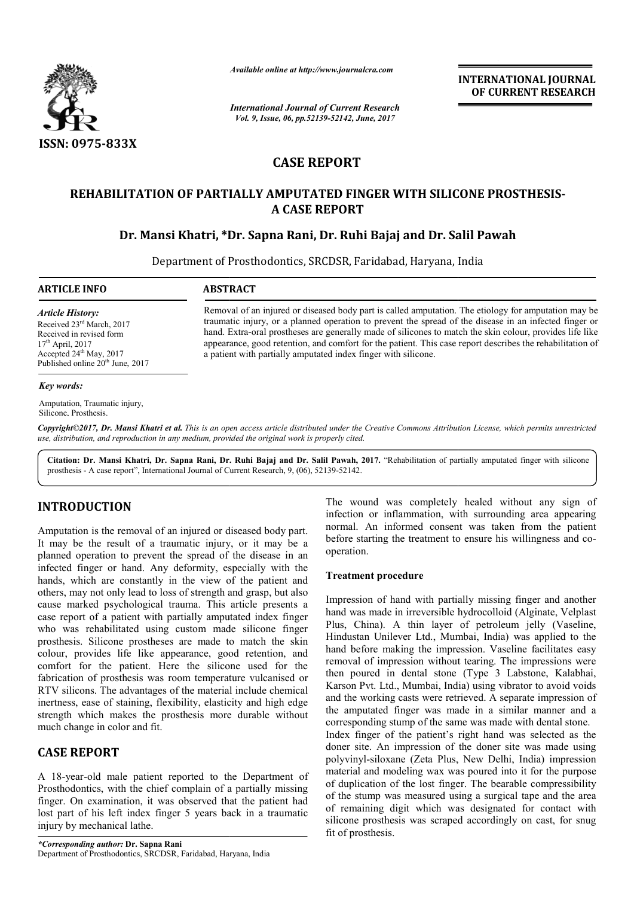

*Available online at http://www.journalcra.com*

*International Journal of Current Research Vol. 9, Issue, 06, pp.52139-52142, June, 2017*

**INTERNATIONAL JOURNAL OF CURRENT RESEARCH** 

# **CASE REPORT**

## **REHABILITATION OF PARTIALLY AMPUTATED FINGER WITH SILICONE PROSTHESIS REHABILITATION OF PROSTHESIS-A CASE REPORT**

## **Dr. Mansi Khatri, \*Dr. Sapna Rani, Dr. Ruhi Bajaj and Dr. Salil Pawah Dr. Salil**

Department of Prosthodont Prosthodontics, SRCDSR, Faridabad, Haryana, India

**ARTICLE INFO ABSTRACT**

*Article History:* Received 23<sup>rd</sup> March, 2017 Received in revised form  $17<sup>th</sup>$  April, 2017 Accepted 24<sup>th</sup> May, 2017 Published online 20<sup>th</sup> June, 2017

Removal of an injured or diseased body part is called amputation. The etiology for amputation may be traumatic injury, or a planned operation to prevent the spread of the disease in an infected finger or hand. Extra-oral prostheses are generally made of silicones to match the skin colour, provides life like appearance, good retention, and comfort for the patient. This case report describes the rehabilitation of a patient with partially amputated index finger with silicone. Removal of an injured or diseased body part is called amputation. The etiology for amputation may traumatic injury, or a planned operation to prevent the spread of the disease in an infected finger hand. Extra-oral prosthe

#### *Key words:*

Amputation, Traumatic injury, Silicone, Prosthesis.

*Copyright©2017, Dr. Mansi Khatri et al. This is an open access article distributed under the Creative Commons Att Attribution License, which ribution which permits unrestricted use, distribution, and reproduction in any medium, provided the original work is properly cited.*

Citation: Dr. Mansi Khatri, Dr. Sapna Rani, Dr. Ruhi Bajaj and Dr. Salil Pawah, 2017. "Rehabilitation of partially amputated finger with silicone prosthesis - A case report", International Journal of Current Research, 9, (06), 52139-52142.

# **INTRODUCTION**

Amputation is the removal of an injured or diseased body part. It may be the result of a traumatic injury, or it may be a planned operation to prevent the spread of the disease in an infected finger or hand. Any deformity, especially with the hands, which are constantly in the view of the patient and others, may not only lead to loss of strength and grasp, but also cause marked psychological trauma. This article presents a case report of a patient with partially amputated index finger who was rehabilitated using custom made silicone finger prosthesis. Silicone prostheses are made to match the skin colour, provides life like appearance, good retention, and colour, provides life like appearance, good retention, and comfort for the patient. Here the silicone used for the fabrication of prosthesis was room temperature vulcanised or RTV silicons. The advantages of the material include chemical inertness, ease of staining, flexibility, elasticity and high edge strength which makes the prosthesis more durable without much change in color and fit.

### **CASE REPORT**

A 18-year-old male patient reported to the Department of Prosthodontics, with the chief complain of a partially missing finger. On examination, it was observed that the patient had lost part of his left index finger 5 years back in a traumatic injury by mechanical lathe. ase of staining, flexibility, elasticity and h<br>hich makes the prosthesis more durable<br>ge in color and fit.<br>**PORT**<br>old male patient reported to the Depar<br>tics, with the chief complain of a partially<br>examination, it was obse

The wound was completely healed without any sign of infection or inflammation, with surrounding area appearing normal. An informed consent was taken from the patient before starting the treatment to ensure his willingness and co operation. or inflammation, with surrounding area appearing<br>An informed consent was taken from the patient<br>arting the treatment to ensure his willingness and co-

#### **Treatment procedure**

Impression of hand with partially missing finger and another hand was made in irreversible hydrocolloid (Alginate, Velplast Plus, China). A thin layer of petroleum jelly (Vaseline, Hindustan Unilever Ltd., Mumbai, India) was applied to the hand before making the impression. Vaseline facilitates easy removal of impression without tearing. The impressions were hand before making the impression. Vaseline facilitates easy<br>removal of impression without tearing. The impressions were<br>then poured in dental stone (Type 3 Labstone, Kalabhai, Karson Pvt. Ltd., Mumbai, India) using vibrator to avoid voids and the working casts were retrieved. A separate impression of the amputated finger was made in a similar manner and a corresponding stump of the same was made with dental stone. Index finger of the patient's right hand was selected as the doner site. An impression of the doner site was made using polyvinyl-siloxane (Zeta Plus, New Delhi, India) impression material and modeling wax was poured into it for the purpose of duplication of the lost finger. The bearable compressibility of the stump was measured using a surgical tape and the area of remaining digit which was designated for contact with silicone prosthesis was scraped accordingly on cast, for snug fit of prosthesis. ission of hand with partially missing finger and another<br>vas made in irreversible hydrocolloid (Alginate, Velplast<br>China). A thin layer of petroleum jelly (Vaseline,<br>stan Unilever Ltd., Mumbai, India) was applied to the t. Ltd., Mumbai, India) using vibrator to avoid voids orking casts were retrieved. A separate impression of ated finger was made in a similar manner and a ding stump of the same was made with dental stone.<br>Ever of the pati INTERNATIONAL JOURNAL<br>
Research<br>
INTERNATIONAL JOURNAL<br>
COF CURRENT RESEARCH<br>
INTERNATION COF CURRENT RESEARCH<br>
INTERNATION COF CURRENT RESEARCH<br>
IS Ajajaj and Dr. Salil Pawah<br>
and an inference of the disease in an inferen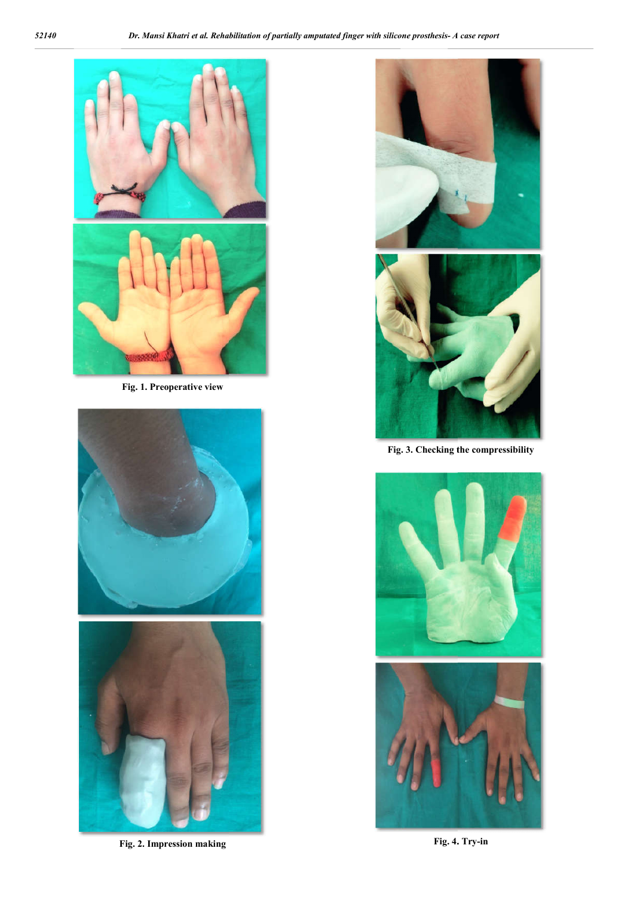

**Fig. 1. Preoperative view**





**Fig. 2. Impression making**





**Fig. 3. Checking the compressibility**



**Fig. 4. . Try-in**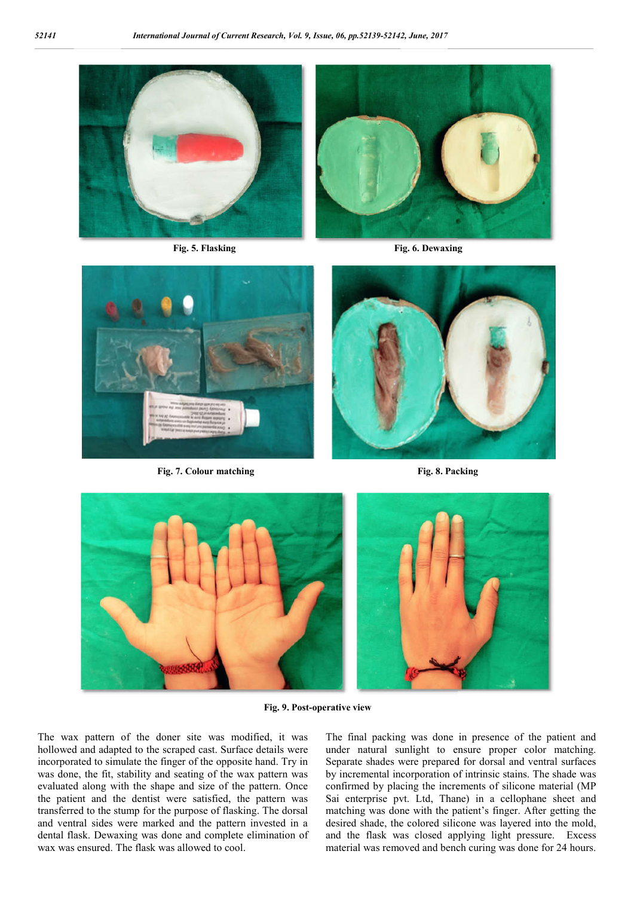

**Fig. 5. Flasking**

**Flasking Fig. 6. Dewaxing**



**Fig. 7. Colour matching** 



**Fig. 8. Packing**



**Fig. 9. Post-operative view**

The wax pattern of the doner site was modified, it was hollowed and adapted to the scraped cast. Surface details were incorporated to simulate the finger of the opposite hand. Try in was done, the fit, stability and seating of the wax pattern was evaluated along with the shape and size of the pattern. Once the patient and the dentist were satisfied, the pattern was transferred to the stump for the purpose of flasking. The dorsal and ventral sides were marked and the pattern invested in a dental flask. Dewaxing was done and complete elimination of wax was ensured. The flask was allowed to cool.

atern of the doner site was modified, it was The final packing was done in presence of the patient and<br>d and adapted to the scraped cast. Surface details were under natural sunlight to ensure proper color matching.<br>rated t under natural sunlight to ensure proper color matching. Separate shades were prepared for dorsal and ventral surfaces by incremental incorporation of intrinsic stains. The shade was confirmed by placing the increments of silicone material (MP Sai enterprise pvt. Ltd, Thane) in a cellophane sheet and matching was done with the patient's finger. After getting the desired shade, the colored silicone was layered into the mold, and the flask was closed applying light pressure. Excess material was removed and bench curing was done for 24 hours. The final packing was done in presence of the patient and under natural sunlight to ensure proper color matching. Separate shades were prepared for dorsal and ventral surfaces by incremental incorporation of intrinsic stai